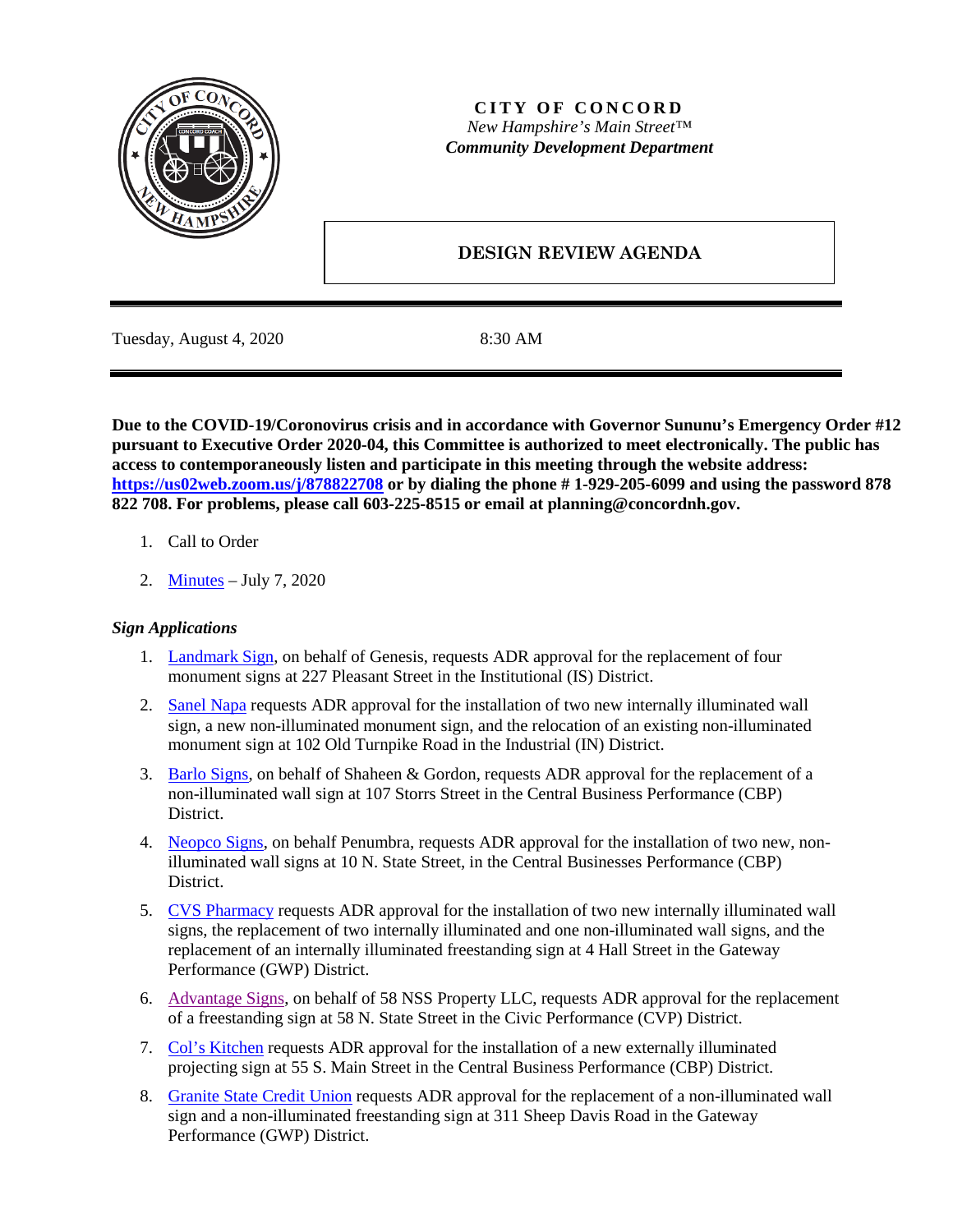

## **CITY OF CONCORD** *New Hampshire's Main Street™ Community Development Department*

# **DESIGN REVIEW AGENDA**

Tuesday, August 4, 2020 8:30 AM

**Due to the COVID-19/Coronovirus crisis and in accordance with Governor Sununu's Emergency Order #12 pursuant to Executive Order 2020-04, this Committee is authorized to meet electronically. The public has access to contemporaneously listen and participate in this meeting through the website address: <https://us02web.zoom.us/j/878822708> or by dialing the phone # 1-929-205-6099 and using the password 878 822 708. For problems, please call 603-225-8515 or email at planning@concordnh.gov.**

- 1. Call to Order
- 2. [Minutes](https://www.concordnh.gov/DocumentCenter/View/15593/07072020) July 7, 2020

## *Sign Applications*

- 1. [Landmark Sign,](https://www.concordnh.gov/DocumentCenter/View/15586/Genesis_Revised_ADR) on behalf of Genesis, requests ADR approval for the replacement of four monument signs at 227 Pleasant Street in the Institutional (IS) District.
- 2. [Sanel Napa](https://www.concordnh.gov/DocumentCenter/View/15590/Sanel_Napa_ADR) requests ADR approval for the installation of two new internally illuminated wall sign, a new non-illuminated monument sign, and the relocation of an existing non-illuminated monument sign at 102 Old Turnpike Road in the Industrial (IN) District.
- 3. [Barlo Signs,](https://www.concordnh.gov/DocumentCenter/View/15591/Shaheen_Gordon_ADR) on behalf of Shaheen & Gordon, requests ADR approval for the replacement of a non-illuminated wall sign at 107 Storrs Street in the Central Business Performance (CBP) District.
- 4. [Neopco Signs,](https://www.concordnh.gov/DocumentCenter/View/15589/Penumbra_ADR) on behalf Penumbra, requests ADR approval for the installation of two new, nonilluminated wall signs at 10 N. State Street, in the Central Businesses Performance (CBP) District.
- 5. CVS [Pharmacy](https://www.concordnh.gov/DocumentCenter/View/15585/CVS_ADR) requests ADR approval for the installation of two new internally illuminated wall signs, the replacement of two internally illuminated and one non-illuminated wall signs, and the replacement of an internally illuminated freestanding sign at 4 Hall Street in the Gateway Performance (GWP) District.
- 6. [Advantage Signs,](https://www.concordnh.gov/DocumentCenter/View/15588/Nicholson_ADR) on behalf of 58 NSS Property LLC, requests ADR approval for the replacement of a freestanding sign at 58 N. State Street in the Civic Performance (CVP) District.
- 7. [Col's Kitchen](https://www.concordnh.gov/DocumentCenter/View/15594/Cols-Kitchen_ADR) requests ADR approval for the installation of a new externally illuminated projecting sign at 55 S. Main Street in the Central Business Performance (CBP) District.
- 8. [Granite State Credit Union](https://www.concordnh.gov/DocumentCenter/View/15587/GSCU_ADR) requests ADR approval for the replacement of a non-illuminated wall sign and a non-illuminated freestanding sign at 311 Sheep Davis Road in the Gateway Performance (GWP) District.